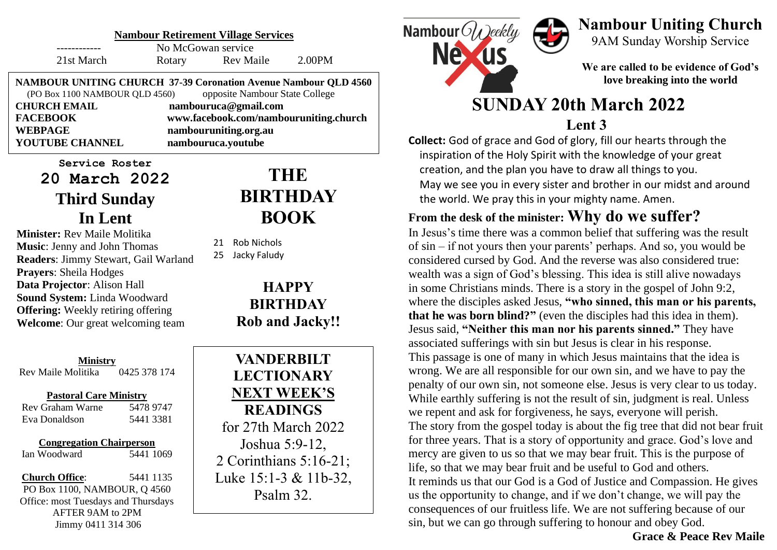| <b>Nambour Retirement Village Services</b>                             |           |                                                                   |  |
|------------------------------------------------------------------------|-----------|-------------------------------------------------------------------|--|
|                                                                        |           |                                                                   |  |
|                                                                        | Rev Maile | 2.00PM                                                            |  |
| <b>NAMBOUR UNITING CHURCH 37-39 Coronation Avenue Nambour QLD 4560</b> |           |                                                                   |  |
| opposite Nambour State College<br>(PO Box 1100 NAMBOUR QLD 4560)       |           |                                                                   |  |
| <b>CHURCH EMAIL</b><br>nambouruca@gmail.com                            |           |                                                                   |  |
| www.facebook.com/nambouruniting.church                                 |           |                                                                   |  |
|                                                                        |           |                                                                   |  |
|                                                                        |           |                                                                   |  |
|                                                                        | Rotary    | No McGowan service<br>nambouruniting.org.au<br>nambouruca.youtube |  |

**Service Roster 20 March 2022 Third Sunday In Lent**

**Minister:** Rev Maile Molitika **Music**: Jenny and John Thomas **Readers**: Jimmy Stewart, Gail Warland **Prayers**: Sheila Hodges **Data Projector**: Alison Hall **Sound System:** Linda Woodward **Offering:** Weekly retiring offering **Welcome**: Our great welcoming team

**Ministry** Rev Maile Molitika 0425 378 174

#### **Pastoral Care Ministry**

| Rev Graham Warne | 5478 9747 |
|------------------|-----------|
| Eva Donaldson    | 5441 3381 |

**Congregation Chairperson**

Ian Woodward 5441 1069

**Church Office**: 5441 1135 PO Box 1100, NAMBOUR, Q 4560 Office: most Tuesdays and Thursdays AFTER 9AM to 2PM Jimmy 0411 314 306

# **THE BIRTHDAY BOOK**

21 Rob Nichols

25 Jacky Faludy

**HAPPY BIRTHDAY Rob and Jacky!!**

**VANDERBILT LECTIONARY NEXT WEEK'S READINGS**  for 27th March 2022 Joshua 5:9-12, 2 Corinthians 5:16-21; Luke 15:1-3 & 11b-32, Psalm 32.



### **Nambour Uniting Church** 9AM Sunday Worship Service

**We are called to be evidence of God's love breaking into the world**

# **SUNDAY 20th March 2022 Lent 3**

**Collect:** God of grace and God of glory, fill our hearts through the inspiration of the Holy Spirit with the knowledge of your great creation, and the plan you have to draw all things to you. May we see you in every sister and brother in our midst and around the world. We pray this in your mighty name. Amen.

# **From the desk of the minister: Why do we suffer?**

In Jesus's time there was a common belief that suffering was the result of sin – if not yours then your parents' perhaps. And so, you would be considered cursed by God. And the reverse was also considered true: wealth was a sign of God's blessing. This idea is still alive nowadays in some Christians minds. There is a story in the gospel of John 9:2, where the disciples asked Jesus, **"who sinned, this man or his parents, that he was born blind?"** (even the disciples had this idea in them). Jesus said, **"Neither this man nor his parents sinned."** They have associated sufferings with sin but Jesus is clear in his response. This passage is one of many in which Jesus maintains that the idea is wrong. We are all responsible for our own sin, and we have to pay the penalty of our own sin, not someone else. Jesus is very clear to us today. While earthly suffering is not the result of sin, judgment is real. Unless we repent and ask for forgiveness, he says, everyone will perish. The story from the gospel today is about the fig tree that did not bear fruit for three years. That is a story of opportunity and grace. God's love and mercy are given to us so that we may bear fruit. This is the purpose of life, so that we may bear fruit and be useful to God and others. It reminds us that our God is a God of Justice and Compassion. He gives us the opportunity to change, and if we don't change, we will pay the consequences of our fruitless life. We are not suffering because of our sin, but we can go through suffering to honour and obey God.

**Grace & Peace Rev Maile**